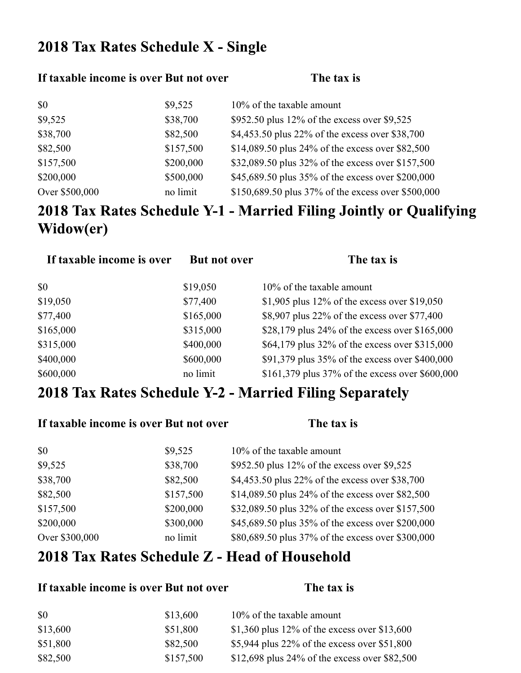## 2018 Tax Rates Schedule X - Single

#### **If taxable income is over But not over The tax is**

| \$0            | \$9,525   | 10% of the taxable amount                          |
|----------------|-----------|----------------------------------------------------|
| \$9,525        | \$38,700  | \$952.50 plus 12% of the excess over \$9,525       |
| \$38,700       | \$82,500  | \$4,453.50 plus 22% of the excess over \$38,700    |
| \$82,500       | \$157,500 | \$14,089.50 plus 24% of the excess over \$82,500   |
| \$157,500      | \$200,000 | \$32,089.50 plus 32% of the excess over \$157,500  |
| \$200,000      | \$500,000 | \$45,689.50 plus 35% of the excess over \$200,000  |
| Over \$500,000 | no limit  | \$150,689.50 plus 37% of the excess over \$500,000 |

# 2018 Tax Rates Schedule Y-1 - Married Filing Jointly or Qualifying Widow(er)

| If taxable income is over | <b>But not over</b> | The tax is                                      |
|---------------------------|---------------------|-------------------------------------------------|
| \$0                       | \$19,050            | 10% of the taxable amount                       |
| \$19,050                  | \$77,400            | \$1,905 plus 12% of the excess over \$19,050    |
| \$77,400                  | \$165,000           | \$8,907 plus 22% of the excess over \$77,400    |
| \$165,000                 | \$315,000           | \$28,179 plus 24% of the excess over $$165,000$ |
| \$315,000                 | \$400,000           | \$64,179 plus 32% of the excess over \$315,000  |
| \$400,000                 | \$600,000           | \$91,379 plus 35% of the excess over \$400,000  |
| \$600,000                 | no limit            | \$161,379 plus 37% of the excess over \$600,000 |

#### 2018 Tax Rates Schedule Y-2 - Married Filing Separately

|                | If taxable income is over But not over | The tax is                                        |
|----------------|----------------------------------------|---------------------------------------------------|
| \$0            | \$9,525                                | 10% of the taxable amount                         |
| \$9,525        | \$38,700                               | \$952.50 plus 12% of the excess over \$9,525      |
| \$38,700       | \$82,500                               | \$4,453.50 plus 22% of the excess over \$38,700   |
| \$82,500       | \$157,500                              | \$14,089.50 plus 24% of the excess over \$82,500  |
| \$157,500      | \$200,000                              | \$32,089.50 plus 32% of the excess over \$157,500 |
| \$200,000      | \$300,000                              | \$45,689.50 plus 35% of the excess over \$200,000 |
| Over \$300,000 | no limit                               | \$80,689.50 plus 37% of the excess over \$300,000 |

#### 2018 Tax Rates Schedule Z - Head of Household

#### **If taxable income is over But not over The tax is**

| \$0      | \$13,600  | 10% of the taxable amount                     |
|----------|-----------|-----------------------------------------------|
| \$13,600 | \$51,800  | \$1,360 plus 12% of the excess over \$13,600  |
| \$51,800 | \$82,500  | \$5,944 plus 22% of the excess over $$51,800$ |
| \$82,500 | \$157,500 | \$12,698 plus 24% of the excess over \$82,500 |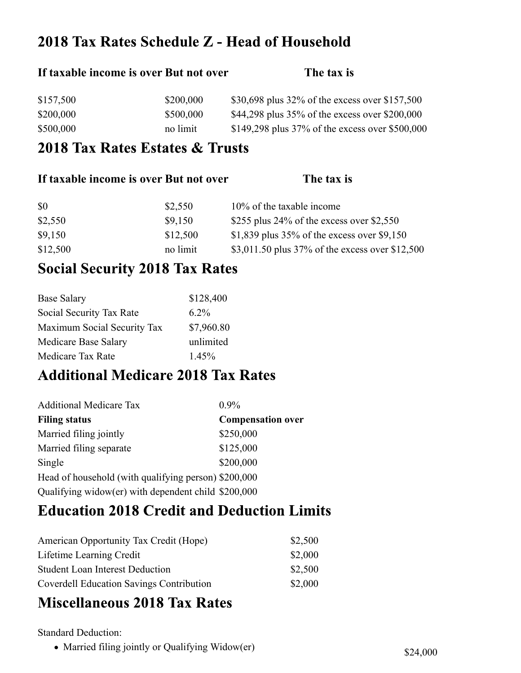### 2018 Tax Rates Schedule Z - Head of Household

# **If taxable income is over But not over The tax is** \$157,500 \$200,000 \$30,698 plus 32% of the excess over \$157,500 \$200,000 \$500,000 \$44,298 plus 35% of the excess over \$200,000 \$500,000 no limit \$149,298 plus 37% of the excess over \$500,000

#### 2018 Tax Rates Estates & Trusts

| If taxable income is over But not over |          | The tax is                                      |
|----------------------------------------|----------|-------------------------------------------------|
| <b>SO</b>                              | \$2,550  | 10% of the taxable income                       |
| \$2,550                                | \$9,150  | \$255 plus 24% of the excess over \$2,550       |
| \$9,150                                | \$12,500 | \$1,839 plus $35\%$ of the excess over \$9,150  |
| \$12,500                               | no limit | \$3,011.50 plus 37% of the excess over \$12,500 |

## **Social Security 2018 Tax Rates**

| <b>Base Salary</b>          | \$128,400  |
|-----------------------------|------------|
| Social Security Tax Rate    | $6.2\%$    |
| Maximum Social Security Tax | \$7,960.80 |
| Medicare Base Salary        | unlimited  |
| Medicare Tax Rate           | $1.45\%$   |

#### **Additional Medicare 2018 Tax Rates**

| <b>Additional Medicare Tax</b>                       | $0.9\%$                  |
|------------------------------------------------------|--------------------------|
| <b>Filing status</b>                                 | <b>Compensation over</b> |
| Married filing jointly                               | \$250,000                |
| Married filing separate                              | \$125,000                |
| Single                                               | \$200,000                |
| Head of household (with qualifying person) \$200,000 |                          |
| Qualifying widow(er) with dependent child \$200,000  |                          |

## **Education 2018 Credit and Deduction Limits**

| American Opportunity Tax Credit (Hope)          | \$2,500 |
|-------------------------------------------------|---------|
| Lifetime Learning Credit                        | \$2,000 |
| <b>Student Loan Interest Deduction</b>          | \$2,500 |
| <b>Coverdell Education Savings Contribution</b> | \$2,000 |

#### **Miscellaneous 2018 Tax Rates**

Standard Deduction:

• Married filing jointly or Qualifying Widow(er) \$24,000